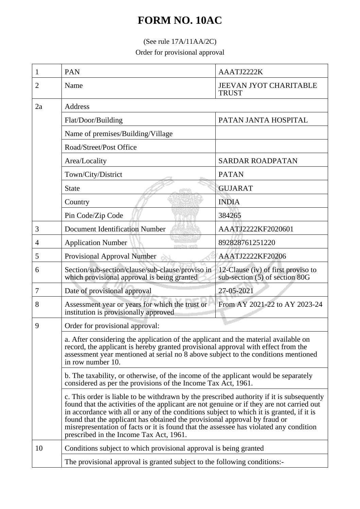## **FORM NO. 10AC**

## (See rule 17A/11AA/2C)

Order for provisional approval

| 1  | <b>PAN</b>                                                                                                                                                                                                                                                                                                                                                                                                                                                                                            | AAATJ2222K                                                           |  |
|----|-------------------------------------------------------------------------------------------------------------------------------------------------------------------------------------------------------------------------------------------------------------------------------------------------------------------------------------------------------------------------------------------------------------------------------------------------------------------------------------------------------|----------------------------------------------------------------------|--|
| 2  | Name                                                                                                                                                                                                                                                                                                                                                                                                                                                                                                  | <b>JEEVAN JYOT CHARITABLE</b><br><b>TRUST</b>                        |  |
| 2a | <b>Address</b>                                                                                                                                                                                                                                                                                                                                                                                                                                                                                        |                                                                      |  |
|    | Flat/Door/Building                                                                                                                                                                                                                                                                                                                                                                                                                                                                                    | PATAN JANTA HOSPITAL                                                 |  |
|    | Name of premises/Building/Village                                                                                                                                                                                                                                                                                                                                                                                                                                                                     |                                                                      |  |
|    | Road/Street/Post Office                                                                                                                                                                                                                                                                                                                                                                                                                                                                               |                                                                      |  |
|    | Area/Locality                                                                                                                                                                                                                                                                                                                                                                                                                                                                                         | <b>SARDAR ROADPATAN</b>                                              |  |
|    | Town/City/District                                                                                                                                                                                                                                                                                                                                                                                                                                                                                    | <b>PATAN</b>                                                         |  |
|    | <b>State</b>                                                                                                                                                                                                                                                                                                                                                                                                                                                                                          | <b>GUJARAT</b>                                                       |  |
|    | Country                                                                                                                                                                                                                                                                                                                                                                                                                                                                                               | <b>INDIA</b>                                                         |  |
|    | Pin Code/Zip Code                                                                                                                                                                                                                                                                                                                                                                                                                                                                                     | 384265                                                               |  |
| 3  | <b>Document Identification Number</b>                                                                                                                                                                                                                                                                                                                                                                                                                                                                 | AAATJ2222KF2020601                                                   |  |
| 4  | <b>Application Number</b>                                                                                                                                                                                                                                                                                                                                                                                                                                                                             | 892828761251220                                                      |  |
| 5  | Provisional Approval Number                                                                                                                                                                                                                                                                                                                                                                                                                                                                           | AAATJ2222KF20206                                                     |  |
| 6  | Section/sub-section/clause/sub-clause/proviso in<br>which provisional approval is being granted                                                                                                                                                                                                                                                                                                                                                                                                       | 12-Clause (iv) of first proviso to<br>sub-section (5) of section 80G |  |
| 7  | Date of provisional approval                                                                                                                                                                                                                                                                                                                                                                                                                                                                          | 27-05-2021                                                           |  |
| 8  | Assessment year or years for which the trust or<br>institution is provisionally approved                                                                                                                                                                                                                                                                                                                                                                                                              | From AY 2021-22 to AY 2023-24                                        |  |
| 9  | Order for provisional approval:<br>a. After considering the application of the applicant and the material available on<br>record, the applicant is hereby granted provisional approval with effect from the<br>assessment year mentioned at serial no 8 above subject to the conditions mentioned<br>in row number 10.                                                                                                                                                                                |                                                                      |  |
|    |                                                                                                                                                                                                                                                                                                                                                                                                                                                                                                       |                                                                      |  |
|    | b. The taxability, or otherwise, of the income of the applicant would be separately<br>considered as per the provisions of the Income Tax Act, 1961.                                                                                                                                                                                                                                                                                                                                                  |                                                                      |  |
|    | c. This order is liable to be withdrawn by the prescribed authority if it is subsequently<br>found that the activities of the applicant are not genuine or if they are not carried out<br>in accordance with all or any of the conditions subject to which it is granted, if it is<br>found that the applicant has obtained the provisional approval by fraud or<br>misrepresentation of facts or it is found that the assessee has violated any condition<br>prescribed in the Income Tax Act, 1961. |                                                                      |  |
| 10 | Conditions subject to which provisional approval is being granted                                                                                                                                                                                                                                                                                                                                                                                                                                     |                                                                      |  |
|    | The provisional approval is granted subject to the following conditions:-                                                                                                                                                                                                                                                                                                                                                                                                                             |                                                                      |  |